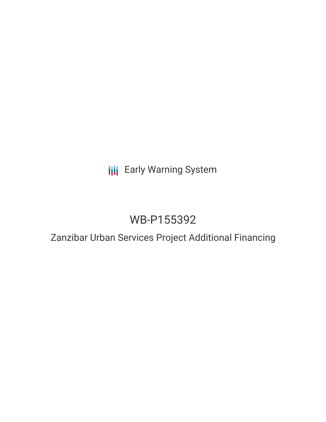## **III** Early Warning System

# WB-P155392

### Zanzibar Urban Services Project Additional Financing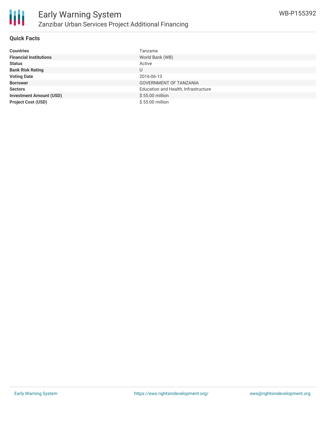

#### **Quick Facts**

| <b>Countries</b>               | Tanzania                             |
|--------------------------------|--------------------------------------|
| <b>Financial Institutions</b>  | World Bank (WB)                      |
| <b>Status</b>                  | Active                               |
| <b>Bank Risk Rating</b>        | U                                    |
| <b>Voting Date</b>             | 2016-06-13                           |
| <b>Borrower</b>                | GOVERNMENT OF TANZANIA               |
| <b>Sectors</b>                 | Education and Health, Infrastructure |
| <b>Investment Amount (USD)</b> | \$55.00 million                      |
| <b>Project Cost (USD)</b>      | \$55.00 million                      |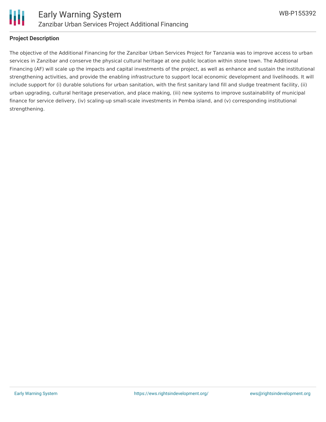

#### **Project Description**

The objective of the Additional Financing for the Zanzibar Urban Services Project for Tanzania was to improve access to urban services in Zanzibar and conserve the physical cultural heritage at one public location within stone town. The Additional Financing (AF) will scale up the impacts and capital investments of the project, as well as enhance and sustain the institutional strengthening activities, and provide the enabling infrastructure to support local economic development and livelihoods. It will include support for (i) durable solutions for urban sanitation, with the first sanitary land fill and sludge treatment facility, (ii) urban upgrading, cultural heritage preservation, and place making, (iii) new systems to improve sustainability of municipal finance for service delivery, (iv) scaling-up small-scale investments in Pemba island, and (v) corresponding institutional strengthening.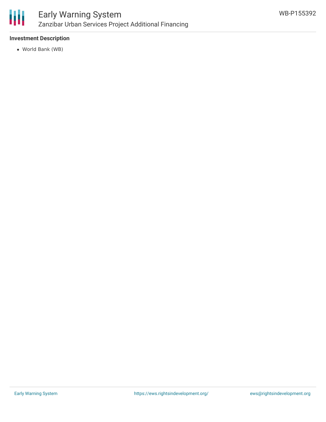

#### **Investment Description**

World Bank (WB)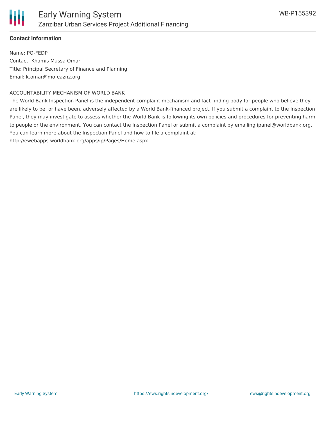

#### **Contact Information**

Name: PO-FEDP Contact: Khamis Mussa Omar Title: Principal Secretary of Finance and Planning Email: k.omar@mofeaznz.org

#### ACCOUNTABILITY MECHANISM OF WORLD BANK

The World Bank Inspection Panel is the independent complaint mechanism and fact-finding body for people who believe they are likely to be, or have been, adversely affected by a World Bank-financed project. If you submit a complaint to the Inspection Panel, they may investigate to assess whether the World Bank is following its own policies and procedures for preventing harm to people or the environment. You can contact the Inspection Panel or submit a complaint by emailing ipanel@worldbank.org. You can learn more about the Inspection Panel and how to file a complaint at: http://ewebapps.worldbank.org/apps/ip/Pages/Home.aspx.